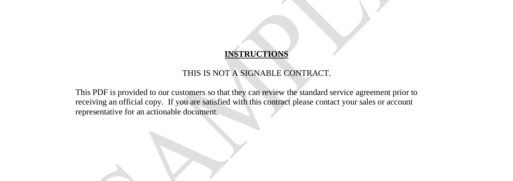### **INSTRUCTIONS**

#### THIS IS NOT A SIGNABLE CONTRACT.

This PDF is provided to our customers so that they can review the standard service agreement prior to receiving an official copy. If you are satisfied with this contract please contact your sales or account representative for an actionable document.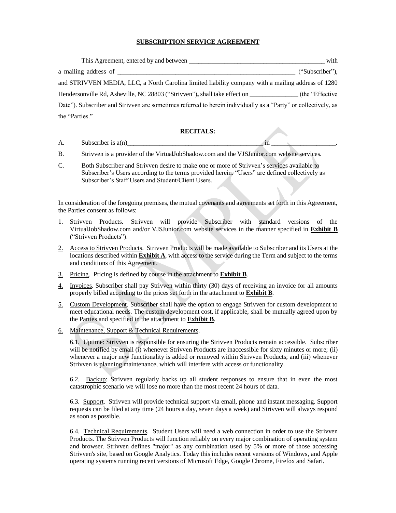### **SUBSCRIPTION SERVICE AGREEMENT**

| This Agreement, entered by and between                                                                         | with              |  |
|----------------------------------------------------------------------------------------------------------------|-------------------|--|
| a mailing address of                                                                                           | ("Subscriber"),   |  |
| and STRIVVEN MEDIA, LLC, a North Carolina limited liability company with a mailing address of 1280             |                   |  |
| Hendersonville Rd, Asheville, NC 28803 ("Strivven"), shall take effect on                                      | (the "Effective") |  |
| Date"). Subscriber and Strivven are sometimes referred to herein individually as a "Party" or collectively, as |                   |  |
| the "Parties."                                                                                                 |                   |  |

#### **RECITALS:**

- A. Subscriber is  $a(n)$
- B. Strivven is a provider of the VirtualJobShadow.com and the VJSJunior.com website services.
- C. Both Subscriber and Strivven desire to make one or more of Strivven's services available to Subscriber's Users according to the terms provided herein. "Users" are defined collectively as Subscriber's Staff Users and Student/Client Users.

In consideration of the foregoing premises, the mutual covenants and agreements set forth in this Agreement, the Parties consent as follows:

- 1. Strivven Products. Strivven will provide Subscriber with standard versions of the VirtualJobShadow.com and/or VJSJunior.com website services in the manner specified in **Exhibit B** ("Strivven Products").
- 2. Access to Strivven Products. Strivven Products will be made available to Subscriber and its Users at the locations described within **Exhibit A**, with access to the service during the Term and subject to the terms and conditions of this Agreement.
- 3. Pricing. Pricing is defined by course in the attachment to **Exhibit B**.
- 4. Invoices. Subscriber shall pay Strivven within thirty (30) days of receiving an invoice for all amounts properly billed according to the prices set forth in the attachment to **Exhibit B**.
- 5. Custom Development. Subscriber shall have the option to engage Strivven for custom development to meet educational needs. The custom development cost, if applicable, shall be mutually agreed upon by the Parties and specified in the attachment to **Exhibit B**.
- 6. Maintenance, Support & Technical Requirements.

6.1. Uptime: Strivven is responsible for ensuring the Strivven Products remain accessible. Subscriber will be notified by email (i) whenever Strivven Products are inaccessible for sixty minutes or more; (ii) whenever a major new functionality is added or removed within Strivven Products; and (iii) whenever Strivven is planning maintenance, which will interfere with access or functionality.

6.2. Backup: Strivven regularly backs up all student responses to ensure that in even the most catastrophic scenario we will lose no more than the most recent 24 hours of data.

6.3. Support. Strivven will provide technical support via email, phone and instant messaging. Support requests can be filed at any time (24 hours a day, seven days a week) and Strivven will always respond as soon as possible.

6.4. Technical Requirements. Student Users will need a web connection in order to use the Strivven Products. The Strivven Products will function reliably on every major combination of operating system and browser. Strivven defines "major" as any combination used by 5% or more of those accessing Strivven's site, based on Google Analytics. Today this includes recent versions of Windows, and Apple operating systems running recent versions of Microsoft Edge, Google Chrome, Firefox and Safari.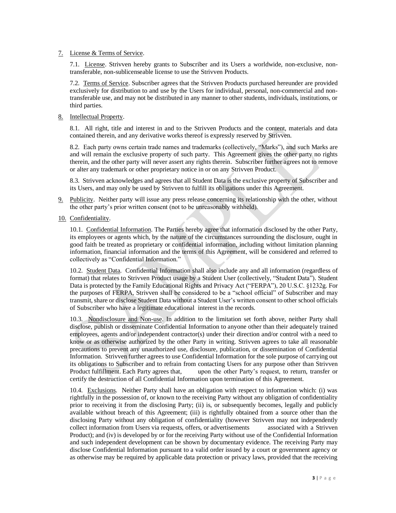#### 7. License & Terms of Service.

7.1. License. Strivven hereby grants to Subscriber and its Users a worldwide, non-exclusive, nontransferable, non-sublicenseable license to use the Strivven Products.

7.2. Terms of Service. Subscriber agrees that the Strivven Products purchased hereunder are provided exclusively for distribution to and use by the Users for individual, personal, non-commercial and nontransferable use, and may not be distributed in any manner to other students, individuals, institutions, or third parties.

## 8. Intellectual Property.

8.1. All right, title and interest in and to the Strivven Products and the content, materials and data contained therein, and any derivative works thereof is expressly reserved by Strivven.

8.2. Each party owns certain trade names and trademarks (collectively, "Marks"), and such Marks are and will remain the exclusive property of such party. This Agreement gives the other party no rights therein, and the other party will never assert any rights therein. Subscriber further agrees not to remove or alter any trademark or other proprietary notice in or on any Strivven Product.

8.3. Strivven acknowledges and agrees that all Student Data is the exclusive property of Subscriber and its Users, and may only be used by Strivven to fulfill its obligations under this Agreement.

- 9. Publicity. Neither party will issue any press release concerning its relationship with the other, without the other party's prior written consent (not to be unreasonably withheld).
- 10. Confidentiality.

10.1. Confidential Information. The Parties hereby agree that information disclosed by the other Party, its employees or agents which, by the nature of the circumstances surrounding the disclosure, ought in good faith be treated as proprietary or confidential information, including without limitation planning information, financial information and the terms of this Agreement, will be considered and referred to collectively as "Confidential Information."

10.2. Student Data. Confidential Information shall also include any and all information (regardless of format) that relates to Strivven Product usage by a Student User (collectively, "Student Data"). Student Data is protected by the Family Educational Rights and Privacy Act ("FERPA"), 20 U.S.C. §1232g. For the purposes of FERPA, Strivven shall be considered to be a "school official" of Subscriber and may transmit, share or disclose Student Data without a Student User's written consent to other school officials of Subscriber who have a legitimate educational interest in the records.

10.3. Nondisclosure and Non-use. In addition to the limitation set forth above, neither Party shall disclose, publish or disseminate Confidential Information to anyone other than their adequately trained employees, agents and/or independent contractor(s) under their direction and/or control with a need to know or as otherwise authorized by the other Party in writing. Strivven agrees to take all reasonable precautions to prevent any unauthorized use, disclosure, publication, or dissemination of Confidential Information. Strivven further agrees to use Confidential Information for the sole purpose of carrying out its obligations to Subscriber and to refrain from contacting Users for any purpose other than Strivven Product fulfillment. Each Party agrees that, upon the other Party's request, to return, transfer or certify the destruction of all Confidential Information upon termination of this Agreement.

10.4. Exclusions. Neither Party shall have an obligation with respect to information which: (i) was rightfully in the possession of, or known to the receiving Party without any obligation of confidentiality prior to receiving it from the disclosing Party; (ii) is, or subsequently becomes, legally and publicly available without breach of this Agreement; (iii) is rightfully obtained from a source other than the disclosing Party without any obligation of confidentiality (however Strivven may not independently collect information from Users via requests, offers, or advertisements associated with a Strivven Product); and (iv) is developed by or for the receiving Party without use of the Confidential Information and such independent development can be shown by documentary evidence. The receiving Party may disclose Confidential Information pursuant to a valid order issued by a court or government agency or as otherwise may be required by applicable data protection or privacy laws, provided that the receiving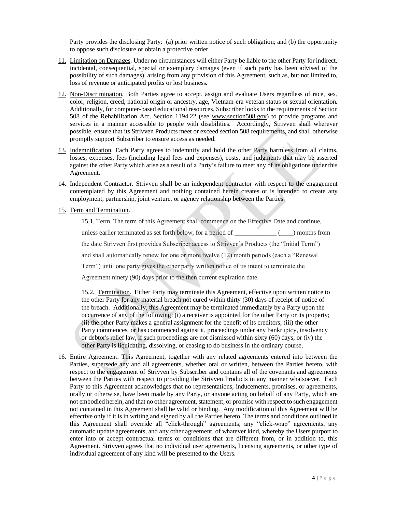Party provides the disclosing Party: (a) prior written notice of such obligation; and (b) the opportunity to oppose such disclosure or obtain a protective order.

- 11. Limitation on Damages. Under no circumstances will either Party be liable to the other Party for indirect, incidental, consequential, special or exemplary damages (even if such party has been advised of the possibility of such damages), arising from any provision of this Agreement, such as, but not limited to, loss of revenue or anticipated profits or lost business.
- 12. Non-Discrimination. Both Parties agree to accept, assign and evaluate Users regardless of race, sex, color, religion, creed, national origin or ancestry, age, Vietnam-era veteran status or sexual orientation. Additionally, for computer-based educational resources, Subscriber looks to the requirements of Section 508 of the Rehabilitation Act, Section 1194.22 (see [www.section508.gov\)](http://www.section508.gov/) to provide programs and services in a manner accessible to people with disabilities. Accordingly, Strivven shall wherever possible, ensure that its Strivven Products meet or exceed section 508 requirements, and shall otherwise promptly support Subscriber to ensure access as needed.
- 13. Indemnification. Each Party agrees to indemnify and hold the other Party harmless from all claims, losses, expenses, fees (including legal fees and expenses), costs, and judgments that may be asserted against the other Party which arise as a result of a Party's failure to meet any of its obligations under this Agreement.
- 14. Independent Contractor. Strivven shall be an independent contractor with respect to the engagement contemplated by this Agreement and nothing contained herein creates or is intended to create any employment, partnership, joint venture, or agency relationship between the Parties.
- 15. Term and Termination.

15.1. Term. The term of this Agreement shall commence on the Effective Date and continue, unless earlier terminated as set forth below, for a period of  $\qquad \qquad$  (equilibrary months from the date Strivven first provides Subscriber access to Strivven's Products (the "Initial Term") and shall automatically renew for one or more twelve (12) month periods (each a "Renewal Term") until one party gives the other party written notice of its intent to terminate the Agreement ninety (90) days prior to the then current expiration date.

15.2. Termination. Either Party may terminate this Agreement, effective upon written notice to the other Party for any material breach not cured within thirty (30) days of receipt of notice of the breach. Additionally, this Agreement may be terminated immediately by a Party upon the occurrence of any of the following: (i) a receiver is appointed for the other Party or its property; (ii) the other Party makes a general assignment for the benefit of its creditors; (iii) the other Party commences, or has commenced against it, proceedings under any bankruptcy, insolvency or debtor's relief law, if such proceedings are not dismissed within sixty (60) days; or (iv) the other Party is liquidating, dissolving, or ceasing to do business in the ordinary course.

16. Entire Agreement. This Agreement, together with any related agreements entered into between the Parties, supersede any and all agreements, whether oral or written, between the Parties hereto, with respect to the engagement of Strivven by Subscriber and contains all of the covenants and agreements between the Parties with respect to providing the Strivven Products in any manner whatsoever. Each Party to this Agreement acknowledges that no representations, inducements, promises, or agreements, orally or otherwise, have been made by any Party, or anyone acting on behalf of any Party, which are not embodied herein, and that no other agreement, statement, or promise with respect to such engagement not contained in this Agreement shall be valid or binding. Any modification of this Agreement will be effective only if it is in writing and signed by all the Parties hereto. The terms and conditions outlined in this Agreement shall override all "click-through" agreements; any "click-wrap" agreements, any automatic update agreements, and any other agreement, of whatever kind, whereby the Users purport to enter into or accept contractual terms or conditions that are different from, or in addition to, this Agreement. Strivven agrees that no individual user agreements, licensing agreements, or other type of individual agreement of any kind will be presented to the Users.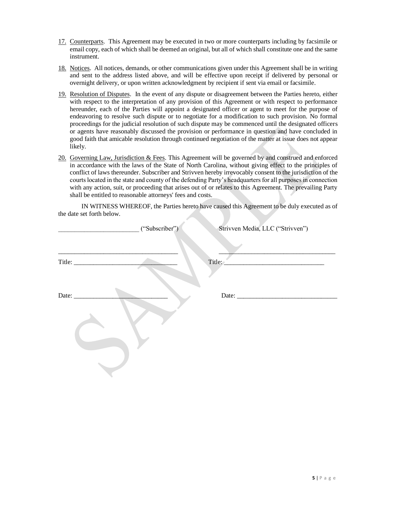- 17. Counterparts. This Agreement may be executed in two or more counterparts including by facsimile or email copy, each of which shall be deemed an original, but all of which shall constitute one and the same instrument.
- 18. Notices. All notices, demands, or other communications given under this Agreement shall be in writing and sent to the address listed above, and will be effective upon receipt if delivered by personal or overnight delivery, or upon written acknowledgment by recipient if sent via email or facsimile.
- 19. Resolution of Disputes. In the event of any dispute or disagreement between the Parties hereto, either with respect to the interpretation of any provision of this Agreement or with respect to performance hereunder, each of the Parties will appoint a designated officer or agent to meet for the purpose of endeavoring to resolve such dispute or to negotiate for a modification to such provision. No formal proceedings for the judicial resolution of such dispute may be commenced until the designated officers or agents have reasonably discussed the provision or performance in question and have concluded in good faith that amicable resolution through continued negotiation of the matter at issue does not appear likely.
- 20. Governing Law, Jurisdiction & Fees. This Agreement will be governed by and construed and enforced in accordance with the laws of the State of North Carolina, without giving effect to the principles of conflict of laws thereunder. Subscriber and Strivven hereby irrevocably consent to the jurisdiction of the courts located in the state and county of the defending Party's headquarters for all purposes in connection with any action, suit, or proceeding that arises out of or relates to this Agreement. The prevailing Party shall be entitled to reasonable attorneys' fees and costs.

IN WITNESS WHEREOF, the Parties hereto have caused this Agreement to be duly executed as of the date set forth below.

|              | ("Subscriber") | Strivven Media, LLC ("Strivven")         |
|--------------|----------------|------------------------------------------|
|              |                | $\text{Title:}$ $\overline{\phantom{a}}$ |
| Date: $\_\_$ |                |                                          |
|              |                |                                          |
|              |                |                                          |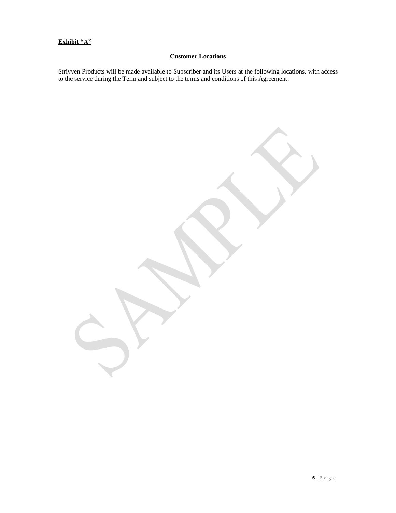## **Exhibit "A"**

## **Customer Locations**

Strivven Products will be made available to Subscriber and its Users at the following locations, with access to the service during the Term and subject to the terms and conditions of this Agreement: